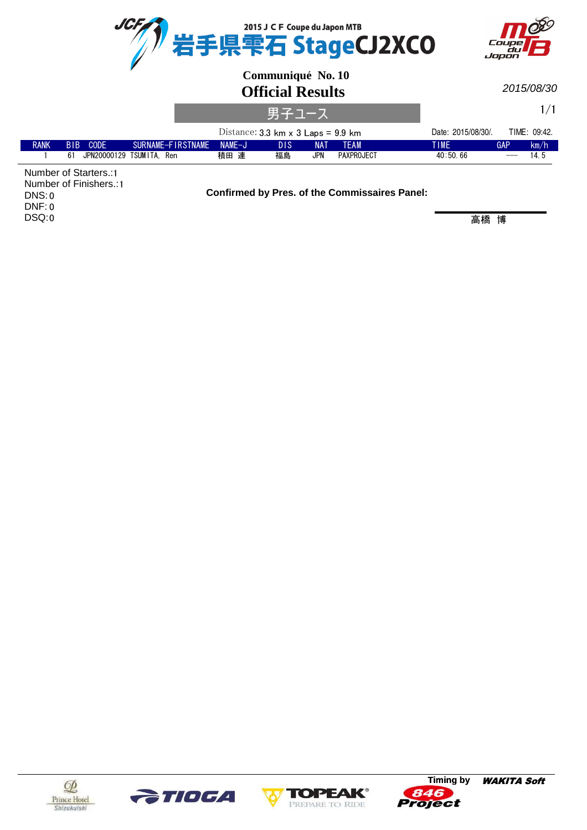

2015/08/30

|             |                                |                          |          | Date: 2015/08/30/. |     | TIME: 09:42. |      |          |       |      |
|-------------|--------------------------------|--------------------------|----------|--------------------|-----|--------------|------|----------|-------|------|
| <b>RANK</b> | B <sub>IB</sub><br><b>CODE</b> | SURNAME-FIRSTNAME        | $NAMF-J$ | DIS                | NAT | <b>TFAM</b>  | TIMF |          | GAP   | km/h |
|             | 61                             | JPN20000129 TSUMITA. Ren | 積田 連     | 福島                 | JPN | PAXPROJECT   |      | 40:50.66 | $---$ | 14 5 |

Number of Starters.: 1 Number of Finishers.: 1 0 DNS: 0 DNF: 0 DSQ:

**Confirmed by Pres. of the Commissaires Panel:**







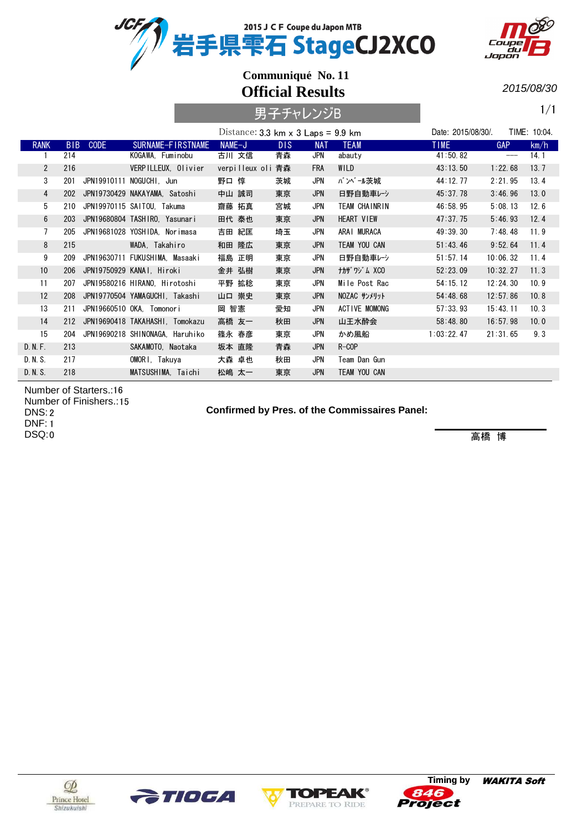



里子チャレンジR

2015/08/30

1/1

|                |                 |             |                                 | Distance: $3.3 \text{ km} \times 3 \text{ Laps} = 9.9 \text{ km}$ |                 |            |               | Date: 2015/08/30/. |            | TIME: 10:04. |
|----------------|-----------------|-------------|---------------------------------|-------------------------------------------------------------------|-----------------|------------|---------------|--------------------|------------|--------------|
| <b>RANK</b>    | B <sub>IB</sub> | <b>CODE</b> | SURNAME-FIRSTNAME               | NAME-J                                                            | D <sub>IS</sub> | <b>NAT</b> | <b>TEAM</b>   | <b>TIME</b>        | <b>GAP</b> | km/h         |
|                | 214             |             | KOGAWA, Fuminobu                | 古川 文信                                                             | 青森              | <b>JPN</b> | abauty        | 41:50.82           | $---$      | 14.1         |
| $\overline{2}$ | 216             |             | VERPILLEUX, Olivier             | verpilleux oli                                                    | 青森              | <b>FRA</b> | WILD          | 43:13.50           | 1:22.68    | 13.7         |
| 3              | 201             |             | JPN19910111 NOGUCHI, Jun        | 野口 惇                                                              | 茨城              | JPN        | バンベール茨城       | 44:12.77           | 2:21.95    | 13.4         |
| $\overline{4}$ | 202             |             | JPN19730429 NAKAYAMA, Satoshi   | 中山 誠司                                                             | 東京              | <b>JPN</b> | 日野自動車レーシ      | 45:37.78           | 3:46.96    | 13.0         |
| 5              | 210             |             | JPN19970115 SAITOU, Takuma      | 齋藤 拓真                                                             | 宮城              | JPN        | TEAM CHAINRIN | 46:58.95           | 5:08.13    | 12.6         |
| $6^{\circ}$    | 203             |             | JPN19680804 TASHIRO, Yasunari   | 田代 泰也                                                             | 東京              | <b>JPN</b> | HEART VIEW    | 47:37.75           | 5:46.93    | 12.4         |
| $\overline{7}$ | 205             |             | JPN19681028 YOSHIDA, Norimasa   | 吉田 紀匡                                                             | 埼玉              | JPN        | ARAI MURACA   | 49:39.30           | 7:48.48    | 11.9         |
| 8              | 215             |             | WADA, Takahiro                  | 和田 隆広                                                             | 東京              | <b>JPN</b> | TEAM YOU CAN  | 51:43.46           | 9:52.64    | 11.4         |
| 9              | 209             |             | JPN19630711 FUKUSHIMA, Masaaki  | 福島 正明                                                             | 東京              | JPN        | 日野自動車レシ       | 51:57.14           | 10:06.32   | 11.4         |
| 10             | 206             |             | JPN19750929 KANAI, Hiroki       | 金井 弘樹                                                             | 東京              | <b>JPN</b> | thザワジム XCO    | 52:23.09           | 10:32.27   | 11.3         |
| 11             | 207             |             | JPN19580216 HIRANO, Hirotoshi   | 平野 拡稔                                                             | 東京              | JPN        | Mile Post Rac | 54:15.12           | 12:24.30   | 10.9         |
| 12             | 208             |             | JPN19770504 YAMAGUCHI, Takashi  | 山口 崇史                                                             | 東京              | <b>JPN</b> | NOZAC サンメリット  | 54:48.68           | 12:57.86   | 10.8         |
| 13             | 211             |             | JPN19660510 OKA, Tomonori       | 岡 智憲                                                              | 愛知              | JPN        | ACTIVE MOMONG | 57:33.93           | 15:43.11   | 10.3         |
| 14             | 212             |             | JPN19690418 TAKAHASHI, Tomokazu | 高橋 友一                                                             | 秋田              | <b>JPN</b> | 山王水酔会         | 58:48.80           | 16:57.98   | 10.0         |
| 15             | 204             |             | JPN19690218 SHINONAGA, Haruhiko | 篠永 春彦                                                             | 東京              | JPN        | かめ風船          | 1:03:22.47         | 21:31.65   | 9.3          |
| D. N. F.       | 213             |             | SAKAMOTO, Naotaka               | 坂本 直隆                                                             | 青森              | <b>JPN</b> | $R$ – $COP$   |                    |            |              |
| D. N. S.       | 217             |             | OMORI, Takuya                   | 大森 卓也                                                             | 秋田              | JPN        | Team Dan Gun  |                    |            |              |
| D. N. S.       | 218             |             | MATSUSHIMA, Taichi              | 松嶋 太一                                                             | 東京              | <b>JPN</b> | TEAM YOU CAN  |                    |            |              |

Number of Starters.: 16 Number of Finishers.: 15 2 DNS: DNF: 1 DSQ:0

**Confirmed by Pres. of the Commissaires Panel:**







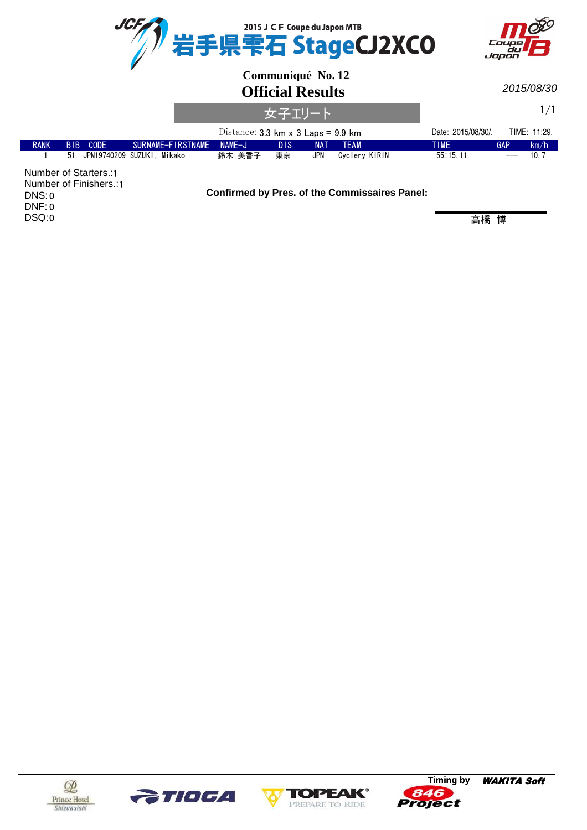|             |                           |                            |                                                                   | 2015 J C F Coupe du Japon MTB                |            | 岩手県雫石 StageCJ2XCO |                    | Coupe)<br>Japon |                     |
|-------------|---------------------------|----------------------------|-------------------------------------------------------------------|----------------------------------------------|------------|-------------------|--------------------|-----------------|---------------------|
|             |                           |                            |                                                                   | Communiqué No. 12<br><b>Official Results</b> |            |                   |                    |                 | 2015/08/30          |
|             |                           |                            | Distance: $3.3 \text{ km} \times 3 \text{ Laps} = 9.9 \text{ km}$ | 女子エリート                                       |            |                   | Date: 2015/08/30/. |                 | 1/1<br>TIME: 11:29. |
| <b>RANK</b> | <b>CODE</b><br><b>BIB</b> | SURNAME-FIRSTNAME          | NAME-J                                                            | DIS                                          | <b>NAT</b> | <b>TEAM</b>       | <b>TIME</b>        | GAP             | km/h                |
| .           | 51                        | JPN19740209 SUZUKI. Mikako | 鈴木 美香子                                                            | 東京                                           | <b>JPN</b> | Cyclery KIRIN     | 55:15.11           |                 | 10.7                |

Number of Starters.: 1 Number of Finishers.: 1 0 DNS: 0 DNF: 0 DSQ:

**Confirmed by Pres. of the Commissaires Panel:**







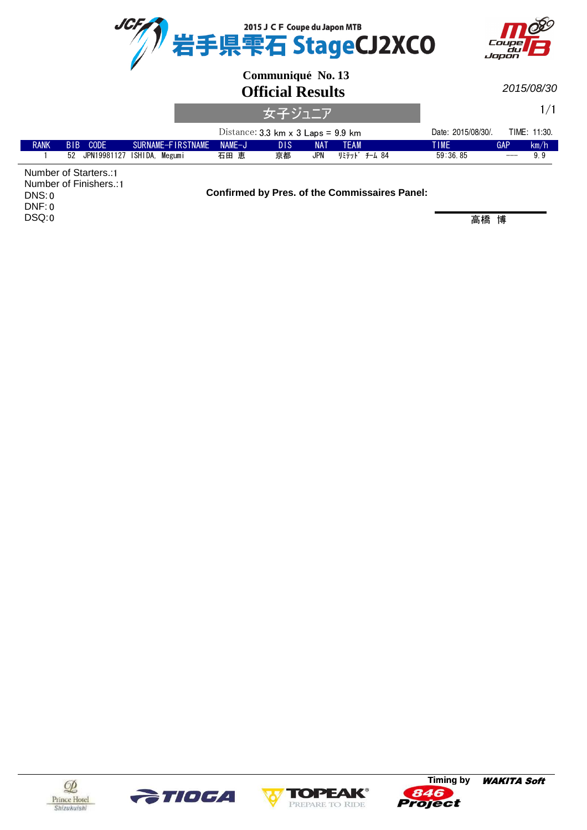

Number of Starters.: 1 Number of Finishers.: 1 0 DNS: 0 DNF: 0 DSQ:

**Confirmed by Pres. of the Commissaires Panel:**







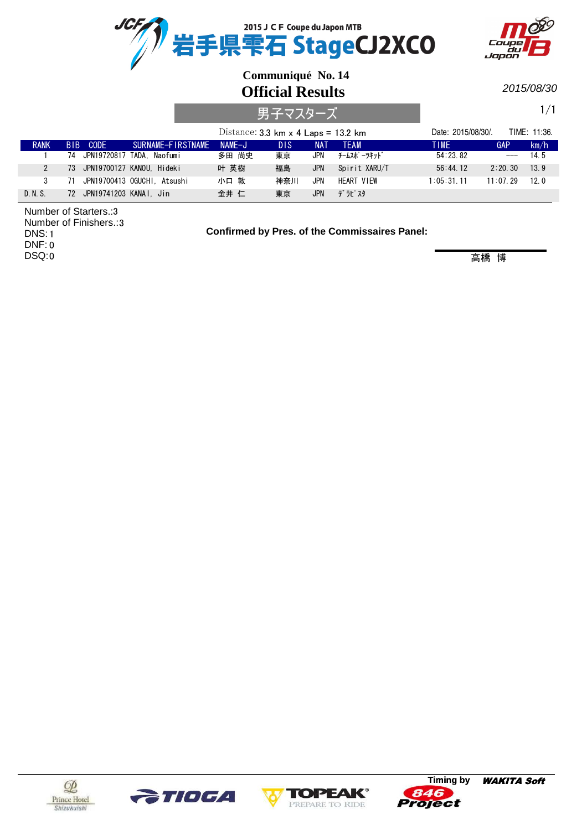

2015/08/30

|  |               |    |                        |                              | 男子マスターズ                                                            |            |                    |               |              |            |      |
|--|---------------|----|------------------------|------------------------------|--------------------------------------------------------------------|------------|--------------------|---------------|--------------|------------|------|
|  |               |    |                        |                              | Distance: $3.3 \text{ km} \times 4 \text{ Laps} = 13.2 \text{ km}$ |            | Date: 2015/08/30/. |               | TIME: 11:36. |            |      |
|  | <b>RANK</b>   |    | BIB CODE               | SURNAME-FIRSTNAME            | $NAME-J$                                                           | <b>DIS</b> | <b>NAT</b>         | <b>TEAM</b>   | <b>TIME</b>  | GAP        | km/h |
|  |               |    |                        | 74 JPN19720817 TADA. Naofumi | 多田 尚史                                                              | 東京         | JPN                | チームスポ ーツキット゛  | 54:23.82     |            | 14.5 |
|  | $\mathcal{P}$ | 73 |                        | JPN19700127 KANOU. Hideki    | 叶 英樹                                                               | 福島         | <b>JPN</b>         | Spirit XARU/T | 56:44.12     | 2:20.30    | 13.9 |
|  | 3             |    |                        | JPN19700413 OGUCHI. Atsushi  | 小口 敦                                                               | 神奈川        | JPN                | HEART VIEW    | 1:05:31.11   | $11:07$ 29 | 12.0 |
|  | D. N. S.      | 72 | JPN19741203 KANAI. Jin |                              | 金井 仁                                                               | 東京         | <b>JPN</b>         | デラピスタ         |              |            |      |

3 Number of Starters.: Number of Finishers.: 3 DNS: 1 0 DNF: 0 DSQ:

**Confirmed by Pres. of the Commissaires Panel:**







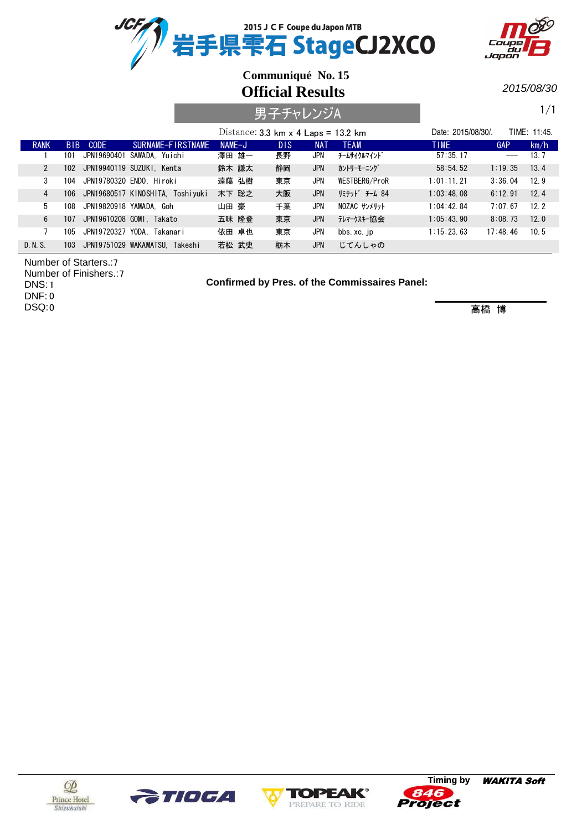

2015/08/30

|          |                       |                 |                                  |                |                    | 男子チャレンジA                                                           |       |            |            |               |             |                    |                   |              |
|----------|-----------------------|-----------------|----------------------------------|----------------|--------------------|--------------------------------------------------------------------|-------|------------|------------|---------------|-------------|--------------------|-------------------|--------------|
|          |                       |                 |                                  |                |                    | Distance: $3.3 \text{ km} \times 4 \text{ Laps} = 13.2 \text{ km}$ |       |            |            |               |             | Date: 2015/08/30/. |                   | TIME: 11:45. |
|          | <b>RANK</b>           | B <sub>IB</sub> | CODE                             |                | SURNAME-FIRSTNAME, | $NAME-J$                                                           |       | <b>DIS</b> | <b>NAT</b> | <b>TEAM</b>   | <b>TIME</b> |                    | GAP               | km/h         |
|          |                       | 101             | JPN19690401                      | SAWADA. Yuichi |                    | 澤田 雄一                                                              |       | 長野         | JPN        | チームサイクルマイント゛  |             | 57:35.17           | $\qquad \qquad -$ | 13.7         |
|          | $\mathbf{2}^{\prime}$ | 102             | JPN19940119 SUZUKI. Kenta        |                |                    |                                                                    | 鈴木 謙太 | 静岡         | <b>JPN</b> | カントリーモーニング    |             | 58:54.52           | 1:19.35           | 13.4         |
|          | 3                     | 104             | JPN19780320 ENDO. Hiroki         |                |                    |                                                                    | 遠藤 弘樹 | 東京         | JPN        | WESTBERG/ProR |             | 1:01:11.21         | 3:36.04           | 12.9         |
|          | $\overline{4}$        | 106             | JPN19680517 KINOSHITA, Toshiyuki |                |                    | 木下 聡之                                                              |       | 大阪         | <b>JPN</b> | リミテット゛ チーム 84 |             | 1:03:48.08         | 6:12.91           | 12.4         |
|          | 5                     | 108             | JPN19820918 YAMADA, Goh          |                |                    | 山田 豪                                                               |       | 千葉         | JPN        | NOZAC サンメリット  |             | 1:04:42.84         | 7:07.67           | 12.2         |
|          | $6^{\circ}$           | 107             | JPN19610208 GOMI. Takato         |                |                    |                                                                    | 五味 隆登 | 東京         | <b>JPN</b> | テレマークスキー協会    |             | 1:05:43.90         | 8:08.73           | 12.0         |
|          |                       | 105             | JPN19720327 YODA. Takanari       |                |                    |                                                                    | 依田 卓也 | 東京         | JPN        | bbs.xc.ip     |             | 1:15:23.63         | 17:48.46          | 10.5         |
| D. N. S. |                       | 103             | JPN19751029 WAKAMATSU,           |                | Takeshi            | 若松 武史                                                              |       | 栃木         | <b>JPN</b> | じてんしゃの        |             |                    |                   |              |

7 Number of Starters.:

Number of Finishers.: 7 1 DNS:

0 DNF:

0 DSQ:

**Confirmed by Pres. of the Commissaires Panel:**